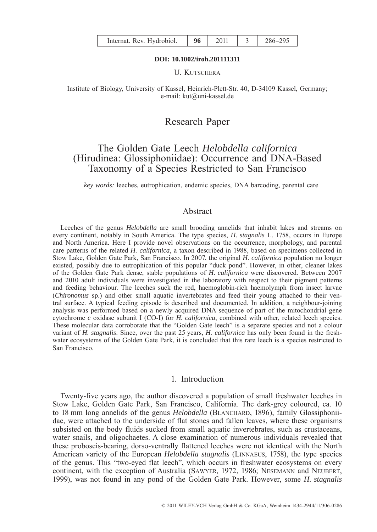| Internat. Rev. Hydrobiol. |  | 2011 |  | 286-295 |
|---------------------------|--|------|--|---------|
|---------------------------|--|------|--|---------|

#### **DOI: 10.1002/iroh.201111311**

U. KUTSCHERA

Institute of Biology, University of Kassel, Heinrich-Plett-Str. 40, D-34109 Kassel, Germany; e-mail: kut@uni-kassel.de

# Research Paper

# The Golden Gate Leech *Helobdella californica* (Hirudinea: Glossiphoniidae): Occurrence and DNA-Based Taxonomy of a Species Restricted to San Francisco

*key words:* leeches, eutrophication, endemic species, DNA barcoding, parental care

# Abstract

Leeches of the genus *Helobdella* are small brooding annelids that inhabit lakes and streams on every continent, notably in South America. The type species, *H. stagnalis* L. 1758, occurs in Europe and North America. Here I provide novel observations on the occurrence, morphology, and parental care patterns of the related *H. californica*, a taxon described in 1988, based on specimens collected in Stow Lake, Golden Gate Park, San Francisco. In 2007, the original *H. californica* population no longer existed, possibly due to eutrophication of this popular "duck pond". However, in other, cleaner lakes of the Golden Gate Park dense, stable populations of *H. californica* were discovered*.* Between 2007 and 2010 adult individuals were investigated in the laboratory with respect to their pigment patterns and feeding behaviour. The leeches suck the red, haemoglobin-rich haemolymph from insect larvae (*Chironomus* sp.) and other small aquatic invertebrates and feed their young attached to their ventral surface. A typical feeding episode is described and documented. In addition, a neighbour-joining analysis was performed based on a newly acquired DNA sequence of part of the mitochondrial gene cytochrome *c* oxidase subunit I (CO-I) for *H. californica*, combined with other, related leech species. These molecular data corroborate that the "Golden Gate leech" is a separate species and not a colour variant of *H. stagnalis*. Since, over the past 25 years, *H. californica* has only been found in the freshwater ecosystems of the Golden Gate Park, it is concluded that this rare leech is a species restricted to San Francisco.

## 1. Introduction

Twenty-five years ago, the author discovered a population of small freshwater leeches in Stow Lake, Golden Gate Park, San Francisco, California. The dark-grey coloured, ca. 10 to 18 mm long annelids of the genus *Helobdella* (BLANCHARD, 1896), family Glossiphoniidae, were attached to the underside of flat stones and fallen leaves, where these organisms subsisted on the body fluids sucked from small aquatic invertebrates, such as crustaceans, water snails, and oligochaetes. A close examination of numerous individuals revealed that these proboscis-bearing, dorso-ventrally flattened leeches were not identical with the North American variety of the European *Helobdella stagnalis* (LINNAEUS, 1758), the type species of the genus. This "two-eyed flat leech", which occurs in freshwater ecosystems on every continent, with the exception of Australia (SAWYER, 1972, 1986; NESEMANN and NEUBERT, 1999), was not found in any pond of the Golden Gate Park. However, some *H. stagnalis*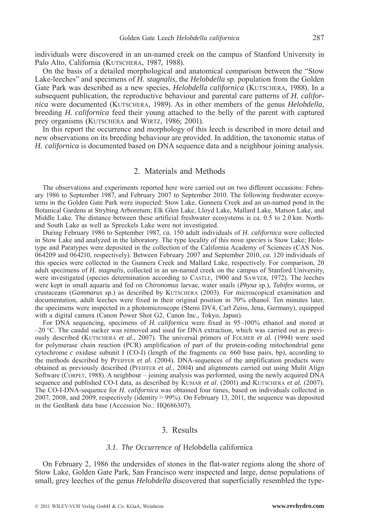individuals were discovered in an un-named creek on the campus of Stanford University in Palo Alto, California (KUTSCHERA, 1987, 1988).

On the basis of a detailed morphological and anatomical comparison between the "Stow Lake-leeches" and specimens of *H. stagnalis,* the *Helobdella* sp. population from the Golden Gate Park was described as a new species, *Helobdella californica* (KUTSCHERA, 1988). In a subsequent publication, the reproductive behaviour and parental care patterns of *H. californica* were documented (KUTSCHERA, 1989). As in other members of the genus *Helobdella*, breeding *H. californica* feed their young attached to the belly of the parent with captured prey organisms (KUTSCHERA and WIRTZ, 1986; 2001).

In this report the occurrence and morphology of this leech is described in more detail and new observations on its breeding behaviour are provided. In addition, the taxonomic status of *H. californica* is documented based on DNA sequence data and a neighbour joining analysis.

## 2. Materials and Methods

The observations and experiments reported here were carried out on two different occasions: February 1986 to September 1987, and February 2007 to September 2010. The following freshwater ecosystems in the Golden Gate Park were inspected: Stow Lake, Gunnera Creek and an un-named pond in the Botanical Gardens at Strybing Arboretum; Elk Glen Lake, Lloyd Lake, Mallard Lake, Matson Lake, and Middle Lake. The distance between these artificial freshwater ecosystems is ca. 0.5 to 2.0 km. Northand South Lake as well as Spreckels Lake were not investigated.

During February 1986 to September 1987, *ca.* 150 adult individuals of *H. californica* were collected in Stow Lake and analyzed in the laboratory. The type locality of this *nova species* is Stow Lake; Holotype and Paratypes were deposited in the collection of the California Academy of Sciences (CAS Nos. 064209 and 064210, respectively). Between February 2007 and September 2010, *ca.* 120 individuals of this species were collected in the Gunnera Creek and Mallard Lake, respectively. For comparison, 20 adult specimens of *H. stagnalis*, collected in an un-named creek on the campus of Stanford University, were investigated (species determination according to CASTLE, 1900 and SAWYER, 1972). The leeches were kept in small aquaria and fed on *Chironomus* larvae, water snails (*Physa* sp.), *Tubifex* worms, or crustaceans (*Gammarus* sp.) as described by KUTSCHERA (2003). For microscopical examination and documentation, adult leeches were fixed in their original position in 70% ethanol. Ten minutes later, the specimens were inspected in a photomicroscope (Stemi DV4, Carl Zeiss, Jena, Germany), equipped with a digital camera (Canon Power Shot G2, Canon Inc., Tokyo, Japan).

For DNA sequencing, specimens of *H. californica* were fixed in 95–100% ethanol and stored at –20 °C. The caudal sucker was removed and used for DNA extraction, which was carried out as previously described (KUTSCHERA *et al.*, 2007). The universal primers of FOLMER *et al.* (1994) were used for polymerase chain reaction (PCR) amplification of part of the protein-coding mitochondrial gene cytochrome *c* oxidase subunit I (CO-I) (length of the fragments *ca.* 660 base pairs, bp), according to the methods described by PFEIFFER *et al.* (2004). DNA-sequences of the amplification products were obtained as previously described (PFEIFFER *et al*., 2004) and alignments carried out using Mulit Align Software (CORPET, 1988). A neighbour – joining analysis was performed, using the newly acquired DNA sequence and published CO-I data, as described by KUMAR *et al*. (2001) and KUTSCHERA *et al.* (2007). The CO-I-DNA-sequence for *H. californica* was obtained four times, based on individuals collected in 2007, 2008, and 2009, respectively (identity > 99%). On February 13, 2011, the sequence was deposited in the GenBank data base (Accession No.: HQ686307).

## 3. Results

#### *3.1. The Occurrence of* Helobdella californica

On February 2, 1986 the undersides of stones in the flat-water regions along the shore of Stow Lake, Golden Gate Park, San Francisco were inspected and large, dense populations of small, grey leeches of the genus *Helobdella* discovered that superficially resembled the type-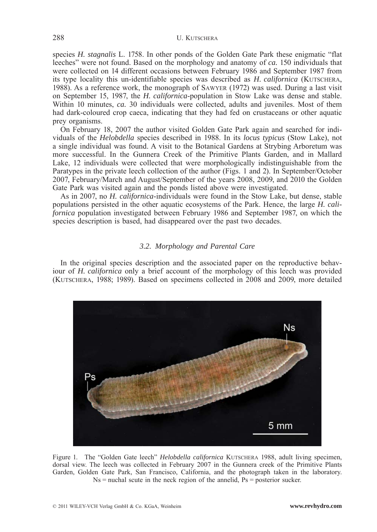species *H. stagnalis* L. 1758. In other ponds of the Golden Gate Park these enigmatic "flat leeches" were not found. Based on the morphology and anatomy of *ca.* 150 individuals that were collected on 14 different occasions between February 1986 and September 1987 from its type locality this un-identifiable species was described as *H. californica* (KUTSCHERA, 1988). As a reference work, the monograph of SAWYER (1972) was used. During a last visit on September 15, 1987, the *H. californica*-population in Stow Lake was dense and stable. Within 10 minutes, *ca.* 30 individuals were collected, adults and juveniles. Most of them had dark-coloured crop caeca, indicating that they had fed on crustaceans or other aquatic prey organisms.

On February 18, 2007 the author visited Golden Gate Park again and searched for individuals of the *Helobdella* species described in 1988. In its *locus typicus* (Stow Lake), not a single individual was found. A visit to the Botanical Gardens at Strybing Arboretum was more successful. In the Gunnera Creek of the Primitive Plants Garden, and in Mallard Lake, 12 individuals were collected that were morphologically indistinguishable from the Paratypes in the private leech collection of the author (Figs. 1 and 2). In September/October 2007, February/March and August/September of the years 2008, 2009, and 2010 the Golden Gate Park was visited again and the ponds listed above were investigated.

As in 2007, no *H. californica*-individuals were found in the Stow Lake, but dense, stable populations persisted in the other aquatic ecosystems of the Park. Hence, the large *H. californica* population investigated between February 1986 and September 1987, on which the species description is based, had disappeared over the past two decades.

## *3.2. Morphology and Parental Care*

In the original species description and the associated paper on the reproductive behaviour of *H. californica* only a brief account of the morphology of this leech was provided (KUTSCHERA, 1988; 1989). Based on specimens collected in 2008 and 2009, more detailed



Figure 1. The "Golden Gate leech" *Helobdella californica* KUTSCHERA 1988, adult living specimen, dorsal view. The leech was collected in February 2007 in the Gunnera creek of the Primitive Plants Garden, Golden Gate Park, San Francisco, California, and the photograph taken in the laboratory.  $Ns$  = nuchal scute in the neck region of the annelid,  $Ps$  = posterior sucker.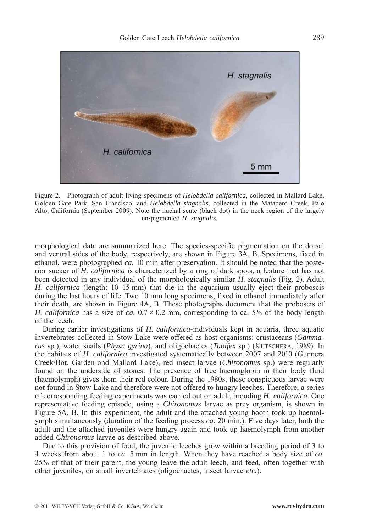

Figure 2. Photograph of adult living specimens of *Helobdella californica*, collected in Mallard Lake, Golden Gate Park, San Francisco, and *Helobdella stagnalis*, collected in the Matadero Creek, Palo Alto, California (September 2009). Note the nuchal scute (black dot) in the neck region of the largely un-pigmented *H. stagnalis*.

morphological data are summarized here. The species-specific pigmentation on the dorsal and ventral sides of the body, respectively, are shown in Figure 3A, B. Specimens, fixed in ethanol, were photographed *ca.* 10 min after preservation. It should be noted that the posterior sucker of *H. californica* is characterized by a ring of dark spots, a feature that has not been detected in any individual of the morphologically similar *H. stagnalis* (Fig. 2). Adult *H. californica* (length: 10–15 mm) that die in the aquarium usually eject their proboscis during the last hours of life. Two 10 mm long specimens, fixed in ethanol immediately after their death, are shown in Figure 4A, B. These photographs document that the proboscis of *H. californica* has a size of *ca.*  $0.7 \times 0.2$  mm, corresponding to ca. 5% of the body length of the leech.

During earlier investigations of *H. californica*-individuals kept in aquaria, three aquatic invertebrates collected in Stow Lake were offered as host organisms: crustaceans (*Gammarus* sp.), water snails (*Physa gyrina*), and oligochaetes (*Tubifex* sp.) (KUTSCHERA, 1989). In the habitats of *H. californica* investigated systematically between 2007 and 2010 (Gunnera Creek/Bot. Garden and Mallard Lake), red insect larvae (*Chironomus* sp.) were regularly found on the underside of stones. The presence of free haemoglobin in their body fluid (haemolymph) gives them their red colour. During the 1980s, these conspicuous larvae were not found in Stow Lake and therefore were not offered to hungry leeches. Therefore, a series of corresponding feeding experiments was carried out on adult, brooding *H. californica*. One representative feeding episode, using a *Chironomus* larvae as prey organism, is shown in Figure 5A, B. In this experiment, the adult and the attached young booth took up haemolymph simultaneously (duration of the feeding process *ca.* 20 min.). Five days later, both the adult and the attached juveniles were hungry again and took up haemolymph from another added *Chironomus* larvae as described above.

Due to this provision of food, the juvenile leeches grow within a breeding period of 3 to 4 weeks from about 1 to *ca.* 5 mm in length. When they have reached a body size of *ca.* 25% of that of their parent, the young leave the adult leech, and feed, often together with other juveniles, on small invertebrates (oligochaetes, insect larvae *etc.*).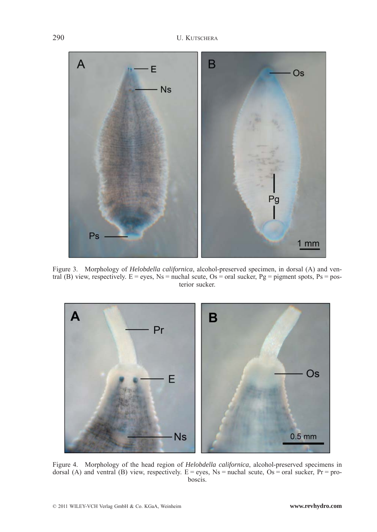

Figure 3. Morphology of *Helobdella californica*, alcohol-preserved specimen, in dorsal (A) and ventral (B) view, respectively. E = eyes, Ns = nuchal scute, Os = oral sucker, Pg = pigment spots, Ps = posterior sucker.



Figure 4. Morphology of the head region of *Helobdella californica*, alcohol-preserved specimens in dorsal (A) and ventral (B) view, respectively.  $E = e$ yes, Ns = nuchal scute, Os = oral sucker, Pr = proboscis.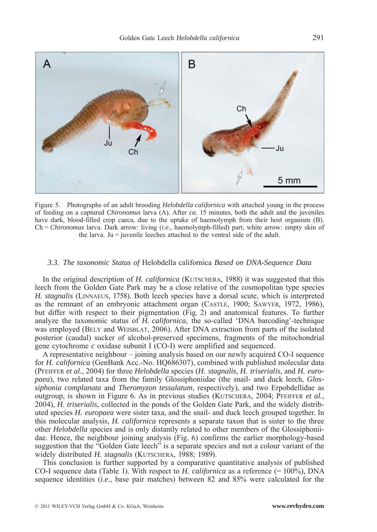

Figure 5. Photographs of an adult brooding *Helobdella californica* with attached young in the process of feeding on a captured *Chironomus* larva (A). After *ca.* 15 minutes, both the adult and the juveniles have dark, blood-filled crop caeca, due to the uptake of haemolymph from their host organism (B). Ch = *Chironomus* larva. Dark arrow: living (*i.e*., haemolymph-filled) part, white arrow: empty skin of the larva.  $Ju =$  juvenile leeches attached to the ventral side of the adult.

#### *3.3. The taxonomic Status of* Helobdella californica *Based on DNA-Sequence Data*

In the original description of *H. californica* (KUTSCHERA, 1988) it was suggested that this leech from the Golden Gate Park may be a close relative of the cosmopolitan type species *H. stagnalis* (LINNAEUS, 1758). Both leech species have a dorsal scute, which is interpreted as the remnant of an embryonic attachment organ (CASTLE, 1900; SAWYER, 1972, 1986), but differ with respect to their pigmentation (Fig. 2) and anatomical features. To further analyze the taxonomic status of *H. californica*, the so-called 'DNA barcoding'-technique was employed (BELY and WEISBLAT, 2006). After DNA extraction from parts of the isolated posterior (caudal) sucker of alcohol-preserved specimens, fragments of the mitochondrial gene cytochrome *c* oxidase subunit I (CO-I) were amplified and sequenced.

A representative neighbour – joining analysis based on our newly acquired CO-I sequence for *H. californica* (GenBank Acc.-No. HQ686307), combined with published molecular data (PFEIFFER *et al.*, 2004) for three *Helobdella* species (*H. stagnalis*, *H. triserialis*, and *H. europaea*), two related taxa from the family Glossiphoniidae (the snail- and duck leech, *Glossiphonia complanata* and *Theromyzon tessulatum*, respectively), and two Erpobdellidae as outgroup, is shown in Figure 6. As in previous studies (KUTSCHERA, 2004; PFEIFFER *et al.*, 2004), *H. triserialis*, collected in the ponds of the Golden Gate Park, and the widely distributed species *H. europaea* were sister taxa, and the snail- and duck leech grouped together. In this molecular analysis, *H. californica* represents a separate taxon that is sister to the three other *Helobdella* species and is only distantly related to other members of the Glossiphoniidae. Hence, the neighbour joining analysis (Fig. 6) confirms the earlier morphology-based suggestion that the "Golden Gate leech" is a separate species and not a colour variant of the widely distributed *H. stagnalis* (KUTSCHERA, 1988; 1989).

This conclusion is further supported by a comparative quantitative analysis of published CO-I sequence data (Table 1). With respect to *H. californica* as a reference (= 100%), DNA sequence identities (*i.e*., base pair matches) between 82 and 85% were calculated for the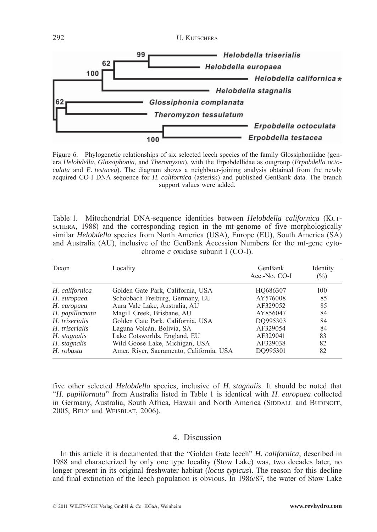292 U. KUTSCHERA



Figure 6. Phylogenetic relationships of six selected leech species of the family Glossiphoniidae (genera *Helobdella*, *Glossiphonia*, and *Theromyzon*), with the Erpobdellidae as outgroup (*Erpobdella octoculata* and *E*. *testacea*). The diagram shows a neighbour-joining analysis obtained from the newly acquired CO-I DNA sequence for *H. californica* (asterisk) and published GenBank data. The branch support values were added.

Table 1. Mitochondrial DNA-sequence identities between *Helobdella californica* (KUT-SCHERA, 1988) and the corresponding region in the mt-genome of five morphologically similar *Helobdella* species from North America (USA), Europe (EU), South America (SA) and Australia (AU), inclusive of the GenBank Accession Numbers for the mt-gene cytochrome *c* oxidase subunit I (CO-I).

| Taxon           | Locality                                 | GenBank<br>Acc.-No. CO-I | Identity<br>$(\%)$ |
|-----------------|------------------------------------------|--------------------------|--------------------|
| H. californica  | Golden Gate Park, California, USA        | HO686307                 | 100                |
| H. europaea     | Schobbach Freiburg, Germany, EU          | AY576008                 | 85                 |
| H. europaea     | Aura Vale Lake, Australia, AU            | AF329052                 | 85                 |
| H. papillornata | Magill Creek, Brisbane, AU               | AY856047                 | 84                 |
| H. triserialis  | Golden Gate Park, California, USA        | DO995303                 | 84                 |
| H. triserialis  | Laguna Volcán, Bolivia, SA               | AF329054                 | 84                 |
| H. stagnalis    | Lake Cotsworlds, England, EU             | AF329041                 | 83                 |
| H. stagnalis    | Wild Goose Lake, Michigan, USA           | AF329038                 | 82                 |
| H. robusta      | Amer. River, Sacramento, California, USA | DO995301                 | 82                 |

five other selected *Helobdella* species, inclusive of *H. stagnalis*. It should be noted that "*H. papillornata*" from Australia listed in Table 1 is identical with *H. europaea* collected in Germany, Australia, South Africa, Hawaii and North America (SIDDALL and BUDINOFF, 2005; BELY and WEISBLAT, 2006).

# 4. Discussion

In this article it is documented that the "Golden Gate leech" *H. californica*, described in 1988 and characterized by only one type locality (Stow Lake) was, two decades later, no longer present in its original freshwater habitat (*locus typicus*). The reason for this decline and final extinction of the leech population is obvious. In 1986/87, the water of Stow Lake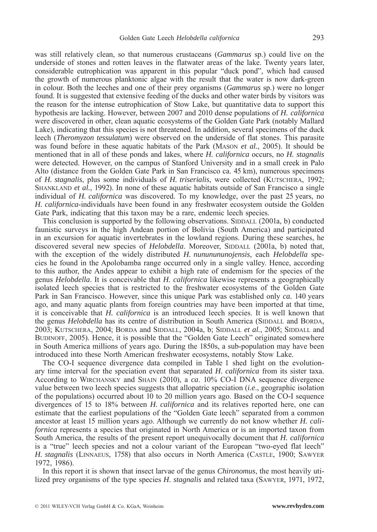was still relatively clean, so that numerous crustaceans (*Gammarus* sp.) could live on the underside of stones and rotten leaves in the flatwater areas of the lake. Twenty years later, considerable eutrophication was apparent in this popular "duck pond", which had caused the growth of numerous planktonic algae with the result that the water is now dark-green in colour. Both the leeches and one of their prey organisms (*Gammarus* sp.) were no longer found. It is suggested that extensive feeding of the ducks and other water birds by visitors was the reason for the intense eutrophication of Stow Lake, but quantitative data to support this hypothesis are lacking. However, between 2007 and 2010 dense populations of *H. californica* were discovered in other, clean aquatic ecosystems of the Golden Gate Park (notably Mallard Lake), indicating that this species is not threatened. In addition, several specimens of the duck leech (*Theromyzon tessulatum*) were observed on the underside of flat stones. This parasite was found before in these aquatic habitats of the Park (MASON *et al.*, 2005). It should be mentioned that in all of these ponds and lakes, where *H. californica* occurs, no *H. stagnalis* were detected. However, on the campus of Stanford University and in a small creek in Palo Alto (distance from the Golden Gate Park in San Francisco ca. 45 km), numerous specimens of *H. stagnalis*, plus some individuals of *H. triserialis*, were collected (KUTSCHERA, 1992; SHANKLAND *et al.*, 1992). In none of these aquatic habitats outside of San Francisco a single individual of *H. californica* was discovered. To my knowledge, over the past 25 years, no *H. californica*-individuals have been found in any freshwater ecosystem outside the Golden Gate Park, indicating that this taxon may be a rare, endemic leech species.

This conclusion is supported by the following observations. SIDDALL (2001a, b) conducted faunistic surveys in the high Andean portion of Bolivia (South America) and participated in an excursion for aquatic invertebrates in the lowland regions. During these searches, he discovered several new species of *Helobdella*. Moreover, SIDDALL (2001a, b) noted that, with the exception of the widely distributed *H. nununununojensis*, each *Helobdella* species he found in the Apolobamba range occurred only in a single valley. Hence, according to this author, the Andes appear to exhibit a high rate of endemism for the species of the genus *Helobdella*. It is conceivable that *H. californica* likewise represents a geographically isolated leech species that is restricted to the freshwater ecosystems of the Golden Gate Park in San Francisco. However, since this unique Park was established only *ca.* 140 years ago, and many aquatic plants from foreign countries may have been imported at that time, it is conceivable that *H. californica* is an introduced leech species. It is well known that the genus *Helobdella* has its centre of distribution in South America (SIDDALL and BORDA, 2003; KUTSCHERA, 2004; BORDA and SIDDALL, 2004a, b; SIDDALL *et al.*, 2005; SIDDALL and BUDINOFF, 2005). Hence, it is possible that the "Golden Gate Leech" originated somewhere in South America millions of years ago. During the 1850s, a sub-population may have been introduced into these North American freshwater ecosystems, notably Stow Lake.

The CO-I sequence divergence data compiled in Table 1 shed light on the evolutionary time interval for the speciation event that separated *H. californica* from its sister taxa. According to WIRCHANSKY and SHAIN (2010), a *ca*. 10% CO-I DNA sequence divergence value between two leech species suggests that allopatric speciation (*i.e*., geographic isolation of the populations) occurred about 10 to 20 million years ago. Based on the CO-I sequence divergences of 15 to 18% between *H. californica* and its relatives reported here, one can estimate that the earliest populations of the "Golden Gate leech" separated from a common ancestor at least 15 million years ago. Although we currently do not know whether *H. californica* represents a species that originated in North America or is an imported taxon from South America, the results of the present report unequivocally document that *H. californica* is a "true" leech species and not a colour variant of the European "two-eyed flat leech" *H. stagnalis* (LINNAEUS, 1758) that also occurs in North America (CASTLE, 1900; SAWYER 1972, 1986).

In this report it is shown that insect larvae of the genus *Chironomus*, the most heavily utilized prey organisms of the type species *H. stagnalis* and related taxa (SAWYER, 1971, 1972,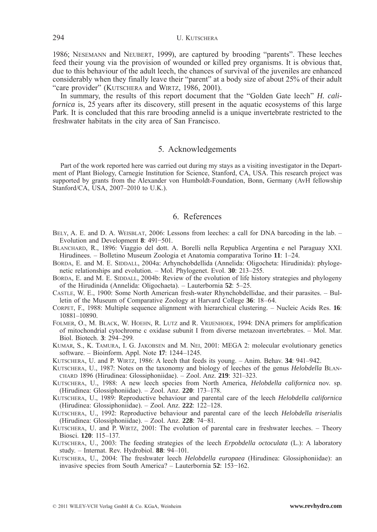1986; NESEMANN and NEUBERT, 1999), are captured by brooding "parents". These leeches feed their young via the provision of wounded or killed prey organisms. It is obvious that, due to this behaviour of the adult leech, the chances of survival of the juveniles are enhanced considerably when they finally leave their "parent" at a body size of about 25% of their adult "care provider" (KUTSCHERA and WIRTZ, 1986, 2001).

In summary, the results of this report document that the "Golden Gate leech" *H. californica* is, 25 years after its discovery, still present in the aquatic ecosystems of this large Park. It is concluded that this rare brooding annelid is a unique invertebrate restricted to the freshwater habitats in the city area of San Francisco.

# 5. Acknowledgements

Part of the work reported here was carried out during my stays as a visiting investigator in the Department of Plant Biology, Carnegie Institution for Science, Stanford, CA, USA. This research project was supported by grants from the Alexander von Humboldt-Foundation, Bonn, Germany (AvH fellowship Stanford/CA, USA, 2007–2010 to U.K.).

## 6. References

- BELY, A. E. and D. A. WEISBLAT, 2006: Lessons from leeches: a call for DNA barcoding in the lab. Evolution and Development **8**: 491−501.
- BLANCHARD, R., 1896: Viaggio del dott. A. Borelli nella Republica Argentina e nel Paraguay XXI. Hirudinees. – Bolletino Museum Zoologia et Anatomia comparativa Torino **11**: 1–24.
- BORDA, E. and M. E. SIDDALL, 2004a: Arhynchobdellida (Annelida: Oligocheta: Hirudinida): phylogenetic relationships and evolution. – Mol. Phylogenet. Evol. **30**: 213–255.
- BORDA, E. and M. E. SIDDALL, 2004b: Review of the evolution of life history strategies and phylogeny of the Hirudinida (Annelida: Oligochaeta). – Lauterbornia **52**: 5–25.
- CASTLE, W. E., 1900: Some North American fresh-water Rhynchobdellidae, and their parasites. Bulletin of the Museum of Comparative Zoology at Harvard College **36**: 18–64.

CORPET, F., 1988: Multiple sequence alignment with hierarchical clustering. – Nucleic Acids Res. **16**: 10881–10890.

FOLMER, O., M. BLACK, W. HOEHN, R. LUTZ and R. VRIJENHOEK, 1994: DNA primers for amplification of mitochondrial cytochrome c oxidase subunit I from diverse metazoan invertebrates. – Mol. Mar. Biol. Biotech. **3**: 294–299.

KUMAR, S., K. TAMURA, I. G. JAKOBSEN and M. NEI, 2001: MEGA 2: molecular evolutionary genetics software. – Bioinform. Appl. Note **17**: 1244–1245.

KUTSCHERA, U. and P. WIRTZ, 1986: A leech that feeds its young. – Anim. Behav. **34**: 941–942.

- KUTSCHERA, U., 1987: Notes on the taxonomy and biology of leeches of the genus *Helobdella* BLAN-CHARD 1896 (Hirudinea: Glossiphoniidae). – Zool. Anz. **219**: 321–323.
- KUTSCHERA, U., 1988: A new leech species from North America, *Helobdella californica* nov. sp. (Hirudinea: Glossiphoniidae). – Zool. Anz. **220**: 173–178.

KUTSCHERA, U., 1989: Reproductive behaviour and parental care of the leech *Helobdella californica* (Hirudinea: Glossiphoniidae). – Zool. Anz. **222**: 122–128.

KUTSCHERA, U., 1992: Reproductive behaviour and parental care of the leech *Helobdella triserialis* (Hirudinea: Glossiphoniidae). – Zool. Anz. **228**: 74−81.

- KUTSCHERA, U. and P. WIRTZ, 2001: The evolution of parental care in freshwater leeches. Theory Biosci. **120**: 115–137.
- KUTSCHERA, U., 2003: The feeding strategies of the leech *Erpobdella octoculata* (L.): A laboratory study. – Internat. Rev. Hydrobiol. **88**: 94–101.
- KUTSCHERA, U., 2004: The freshwater leech *Helobdella europaea* (Hirudinea: Glossiphoniidae): an invasive species from South America? – Lauterbornia **52**: 153−162.